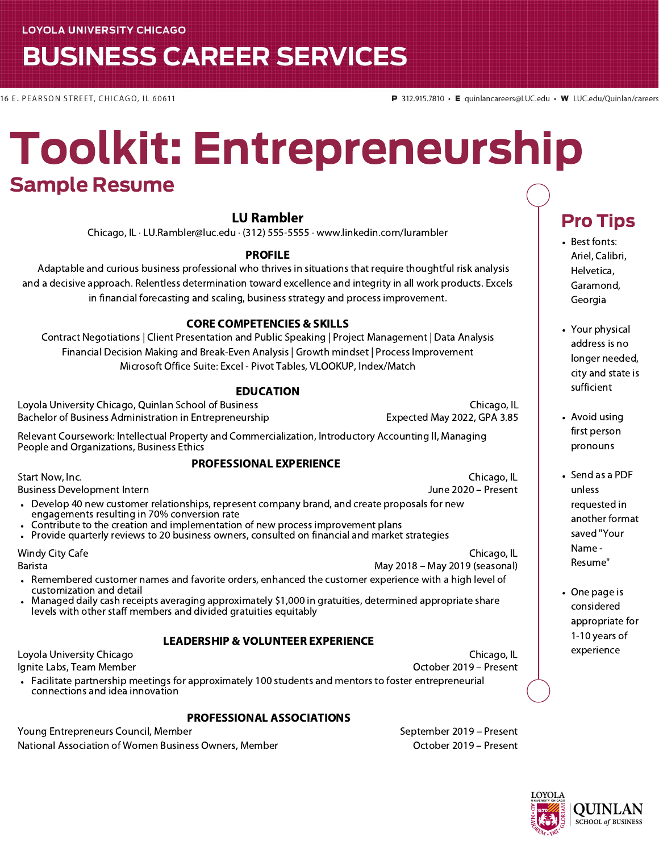## **BUSINESS CAREER SERVICES**

16 E. PEARSON STREET, CHICAGO, IL 60611

## Toolkit: Entrepreneurship Sample Resume

#### LU Rambler

Chicago, IL · LU.Rambler@luc.edu · (312) 555-5555 · www.linkedin.com/lurambler

#### PROFILE

Adaptable and curious business professional who thrives in situations that require thoughtful risk analysis and a decisive approach. Relentless determination toward excellence and integrity in all work products. Excels in financial forecasting and scaling, business strategy and process improvement.

#### CORE COMPETENCIES & SKILLS

Contract Negotiations | Client Presentation and Public Speaking | Project Management | Data Analysis Financial Decision Making and Break-Even Analysis | Growth mindset | Process Improvement Microsoft Office Suite: Excel - Pivot Tables, VLOOKUP, Index/Match

#### EDUCATION Loyola University Chicago, Quinlan School of Business Chicago, IL

Bachelor of Business Administration in Entrepreneurship Expected May 2022, GPA 3.85 Relevant Coursework: Intellectual Property and Commercialization, Introductory Accounting II, Managing People and Organizations, Business Ethics

#### PROFESSIONAL EXPERIENCE

Start Now, Inc. Business Development Intern

Chicago, IL June 2020 – Present

Chicago, IL

- Develop 40 new customer relationships, represent company brand, and create proposals for new engagements resulting in 70% conversion rate
- Contribute to the creation and implementation of new process improvement plans
- Provide quarterly reviews to 20 business owners, consulted on financial and market strategies

Windy City Cafe Barista

- Remembered customer names and favorite orders, enhanced the customer experience with a high level of customization and detail
- Managed daily cash receipts averaging approximately \$1,000 in gratuities, determined appropriate share levels with other staff members and divided gratuities equitably

#### LEADERSHIP & VOLUNTEER EXPERIENCE

Loyola University Chicago Ignite Labs, Team Member

Chicago, IL October 2019 – Present

May 2018 – May 2019 (seasonal)

Facilitate partnership meetings for approximately 100 students and mentors to foster entrepreneurial connections and idea innovation

#### PROFESSIONAL ASSOCIATIONS

National Association of Women Business Owners, Member **Channel Common Contract Contract October 2019** – Present Young Entrepreneurs Council, Member September 2019 – Present

### Pro Tips

- Best fonts: Ariel, Calibri, Helvetica, Garamond, Georgia
- Your physical address is no longer needed, city and state is sufficient
- Avoid using first person pronouns
- Send as a PDF unless requested in another format saved "Your Name - Resume"
- One page is considered appropriate for 1-10 years of experience